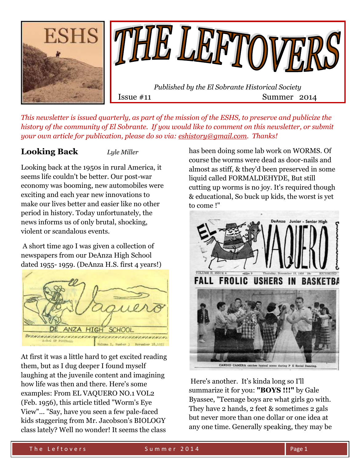

*This newsletter is issued quarterly, as part of the mission of the ESHS, to preserve and publicize the history of the community of El Sobrante. If you would like to comment on this newsletter, or submit your own article for publication, please do so via: [eshistory@gmail.com.](mailto:eshistory@gmail.com) Thanks!*

## **Looking Back** *Lyle Miller*

Looking back at the 1950s in rural America, it seems life couldn't be better. Our post-war economy was booming, new automobiles were exciting and each year new innovations to make our lives better and easier like no other period in history. Today unfortunately, the news informs us of only brutal, shocking, violent or scandalous events.

A short time ago I was given a collection of newspapers from our DeAnza High School dated 1955- 1959. (DeAnza H.S. first 4 years!)



At first it was a little hard to get excited reading them, but as I dug deeper I found myself laughing at the juvenile content and imagining how life was then and there. Here's some examples: From EL VAQUERO NO.1 VOL2 (Feb. 1956), this article titled "Worm's Eye View"... "Say, have you seen a few pale-faced kids staggering from Mr. Jacobson's BIOLOGY class lately? Well no wonder! It seems the class

has been doing some lab work on WORMS. Of course the worms were dead as door-nails and almost as stiff, & they'd been preserved in some liquid called FORMALDEHYDE, But still cutting up worms is no joy. It's required though & educational, So buck up kids, the worst is yet to come !"



Here's another. It's kinda long so I'll summarize it for you: **"BOYS !!!"** by Gale Byassee, "Teenage boys are what girls go with. They have 2 hands, 2 feet & sometimes 2 gals but never more than one dollar or one idea at any one time. Generally speaking, they may be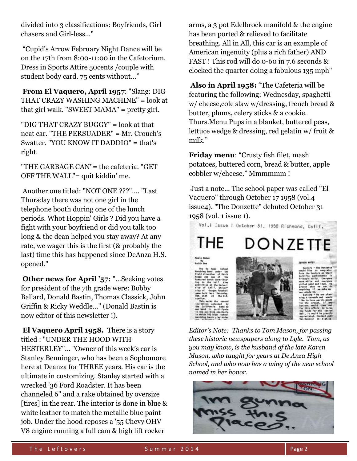divided into 3 classifications: Boyfriends, Girl chasers and Girl-less..."

"Cupid's Arrow February Night Dance will be on the 17th from 8:00-11:00 in the Cafetorium. Dress in Sports Attire 50cents /couple with student body card. 75 cents without..."

**From El Vaquero, April 1957**: "Slang: DIG THAT CRAZY WASHING MACHINE" = look at that girl walk. "SWEET MAMA" = pretty girl.

"DIG THAT CRAZY BUGGY" = look at that neat car. "THE PERSUADER" = Mr. Crouch's Swatter. "YOU KNOW IT DADDIO" = that's right.

"THE GARBAGE CAN"= the cafeteria. "GET OFF THE WALL"= quit kiddin' me.

Another one titled: "NOT ONE ???".... "Last Thursday there was not one girl in the telephone booth during one of the lunch periods. Whot Hoppin' Girls ? Did you have a fight with your boyfriend or did you talk too long & the dean helped you stay away? At any rate, we wager this is the first (& probably the last) time this has happened since DeAnza H.S. opened."

**Other news for April '57:** "...Seeking votes for president of the 7th grade were: Bobby Ballard, Donald Bastin, Thomas Classick, John Griffin & Ricky Weddle..." (Donald Bastin is now editor of this newsletter !).

**El Vaquero April 1958.** There is a story titled : "UNDER THE HOOD WITH HESTERLEY"... "Owner of this week's car is Stanley Benninger, who has been a Sophomore here at Deanza for THREE years. His car is the ultimate in customizing. Stanley started with a wrecked '36 Ford Roadster. It has been channeled 6" and a rake obtained by oversize [tires] in the rear. The interior is done in blue & white leather to match the metallic blue paint job. Under the hood reposes a '55 Chevy OHV V8 engine running a full cam & high lift rocker

arms, a 3 pot Edelbrock manifold & the engine has been ported & relieved to facilitate breathing. All in All, this car is an example of American ingenuity (plus a rich father) AND FAST ! This rod will do 0-60 in 7.6 seconds & clocked the quarter doing a fabulous 135 mph"

**Also in April 1958:** "The Cafeteria will be featuring the following: Wednesday, spaghetti w/ cheese,cole slaw w/dressing, french bread & butter, plums, celery sticks & a cookie. Thurs.Menu Pups in a blanket, buttered peas, lettuce wedge & dressing, red gelatin w/ fruit & milk."

**Friday menu**: "Crusty fish filet, mash potatoes, buttered corn, bread & butter, apple cobbler w/cheese." Mmmmmm !

Just a note... The school paper was called "El Vaquero" through October 17 1958 (vol.4 issue4). "The Donzette" debuted October 31 1958 (vol. 1 issue 1).

Vol.i Issue | October 31, 1958 Richmond, Calif. THE DONZETTE

*Editor's Note: Thanks to Tom Mason, for passing these historic newspapers along to Lyle. Tom, as you may know, is the husband of the late Karen Mason, who taught for years at De Anza High School, and who now has a wing of the new school named in her honor.*

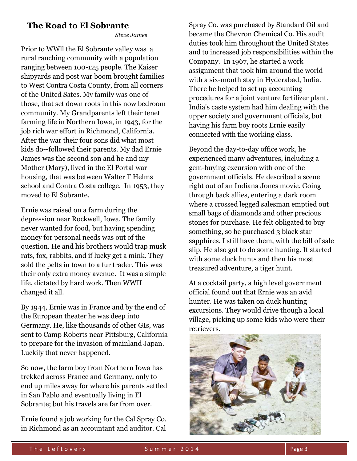## **The Road to El Sobrante**

 *Steve James*

Prior to WWll the El Sobrante valley was a rural ranching community with a population ranging between 100-125 people. The Kaiser shipyards and post war boom brought families to West Contra Costa County, from all corners of the United Sates. My family was one of those, that set down roots in this now bedroom community. My Grandparents left their tenet farming life in Northern Iowa, in 1943, for the job rich war effort in Richmond, California. After the war their four sons did what most kids do--followed their parents. My dad Ernie James was the second son and he and my Mother (Mary), lived in the El Portal war housing, that was between Walter T Helms school and Contra Costa college. In 1953, they moved to El Sobrante.

Ernie was raised on a farm during the depression near Rockwell, Iowa. The family never wanted for food, but having spending money for personal needs was out of the question. He and his brothers would trap musk rats, fox, rabbits, and if lucky get a mink. They sold the pelts in town to a fur trader. This was their only extra money avenue. It was a simple life, dictated by hard work. Then WWII changed it all.

By 1944, Ernie was in France and by the end of the European theater he was deep into Germany. He, like thousands of other GIs, was sent to Camp Roberts near Pittsburg, California to prepare for the invasion of mainland Japan. Luckily that never happened.

So now, the farm boy from Northern Iowa has trekked across France and Germany, only to end up miles away for where his parents settled in San Pablo and eventually living in El Sobrante; but his travels are far from over.

Ernie found a job working for the Cal Spray Co. in Richmond as an accountant and auditor. Cal

Spray Co. was purchased by Standard Oil and became the Chevron Chemical Co. His audit duties took him throughout the United States and to increased job responsibilities within the Company. In 1967, he started a work assignment that took him around the world with a six-month stay in Hyderabad, India. There he helped to set up accounting procedures for a joint venture fertilizer plant. India's caste system had him dealing with the upper society and government officials, but having his farm boy roots Ernie easily connected with the working class.

Beyond the day-to-day office work, he experienced many adventures, including a gem-buying excursion with one of the government officials. He described a scene right out of an Indiana Jones movie. Going through back allies, entering a dark room where a crossed legged salesman emptied out small bags of diamonds and other precious stones for purchase. He felt obligated to buy something, so he purchased 3 black star sapphires. I still have them, with the bill of sale slip. He also got to do some hunting. It started with some duck hunts and then his most treasured adventure, a tiger hunt.

At a cocktail party, a high level government official found out that Ernie was an avid hunter. He was taken on duck hunting excursions. They would drive though a local village, picking up some kids who were their retrievers.

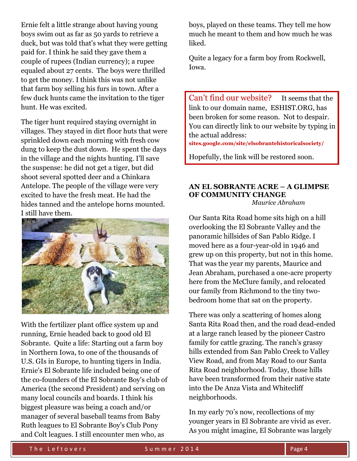Ernie felt a little strange about having young boys swim out as far as 50 yards to retrieve a duck, but was told that's what they were getting paid for. I think he said they gave them a couple of rupees (Indian currency); a rupee equaled about 27 cents. The boys were thrilled to get the money. I think this was not unlike that farm boy selling his furs in town. After a few duck hunts came the invitation to the tiger hunt. He was excited.

The tiger hunt required staying overnight in villages. They stayed in dirt floor huts that were sprinkled down each morning with fresh cow dung to keep the dust down. He spent the days in the village and the nights hunting. I'll save the suspense: he did not get a tiger, but did shoot several spotted deer and a Chinkara Antelope. The people of the village were very excited to have the fresh meat. He had the hides tanned and the antelope horns mounted. I still have them.



With the fertilizer plant office system up and running, Ernie headed back to good old El Sobrante. Quite a life: Starting out a farm boy in Northern Iowa, to one of the thousands of U.S. GIs in Europe, to hunting tigers in India. Ernie's El Sobrante life included being one of the co-founders of the El Sobrante Boy's club of America (the second President) and serving on many local councils and boards. I think his biggest pleasure was being a coach and/or manager of several baseball teams from Baby Ruth leagues to El Sobrante Boy's Club Pony and Colt leagues. I still encounter men who, as

boys, played on these teams. They tell me how much he meant to them and how much he was liked.

Quite a legacy for a farm boy from Rockwell, Iowa.

Can't find our website? It seems that the link to our domain name, ESHIST.ORG, has been broken for some reason. Not to despair. You can directly link to our website by typing in the actual address:

**sites.google.com/site/elsobrantehistoricalsociety/**

Hopefully, the link will be restored soon.

#### **AN EL SOBRANTE ACRE – A GLIMPSE OF COMMUNITY CHANGE**  *Maurice Abraham*

Our Santa Rita Road home sits high on a hill overlooking the El Sobrante Valley and the panoramic hillsides of San Pablo Ridge. I moved here as a four-year-old in 1946 and grew up on this property, but not in this home. That was the year my parents, Maurice and Jean Abraham, purchased a one-acre property here from the McClure family, and relocated our family from Richmond to the tiny twobedroom home that sat on the property.

There was only a scattering of homes along Santa Rita Road then, and the road dead-ended at a large ranch leased by the pioneer Castro family for cattle grazing. The ranch's grassy hills extended from San Pablo Creek to Valley View Road, and from May Road to our Santa Rita Road neighborhood. Today, those hills have been transformed from their native state into the De Anza Vista and Whitecliff neighborhoods.

In my early 70's now, recollections of my younger years in El Sobrante are vivid as ever. As you might imagine, El Sobrante was largely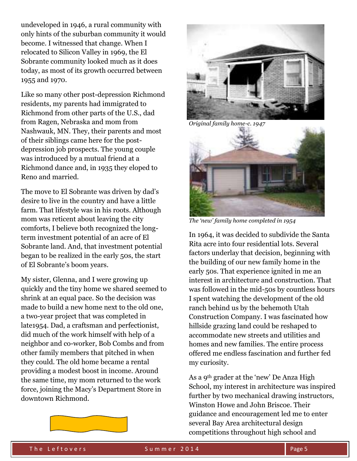undeveloped in 1946, a rural community with only hints of the suburban community it would become. I witnessed that change. When I relocated to Silicon Valley in 1969, the El Sobrante community looked much as it does today, as most of its growth occurred between 1955 and 1970.

Like so many other post-depression Richmond residents, my parents had immigrated to Richmond from other parts of the U.S., dad from Ragen, Nebraska and mom from Nashwauk, MN. They, their parents and most of their siblings came here for the postdepression job prospects. The young couple was introduced by a mutual friend at a Richmond dance and, in 1935 they eloped to Reno and married.

The move to El Sobrante was driven by dad's desire to live in the country and have a little farm. That lifestyle was in his roots. Although mom was reticent about leaving the city comforts, I believe both recognized the longterm investment potential of an acre of El Sobrante land. And, that investment potential began to be realized in the early 50s, the start of El Sobrante's boom years.

My sister, Glenna, and I were growing up quickly and the tiny home we shared seemed to shrink at an equal pace. So the decision was made to build a new home next to the old one, a two-year project that was completed in late1954. Dad, a craftsman and perfectionist, did much of the work himself with help of a neighbor and co-worker, Bob Combs and from other family members that pitched in when they could. The old home became a rental providing a modest boost in income. Around the same time, my mom returned to the work force, joining the Macy's Department Store in downtown Richmond.



*Original family home-c. 1947* 



*The 'new' family home completed in 1954*

In 1964, it was decided to subdivide the Santa Rita acre into four residential lots. Several factors underlay that decision, beginning with the building of our new family home in the early 50s. That experience ignited in me an interest in architecture and construction. That was followed in the mid-50s by countless hours I spent watching the development of the old ranch behind us by the behemoth Utah Construction Company. I was fascinated how hillside grazing land could be reshaped to accommodate new streets and utilities and homes and new families. The entire process offered me endless fascination and further fed my curiosity.

As a 9th grader at the 'new' De Anza High School, my interest in architecture was inspired further by two mechanical drawing instructors, Winston Howe and John Briscoe. Their guidance and encouragement led me to enter several Bay Area architectural design competitions throughout high school and

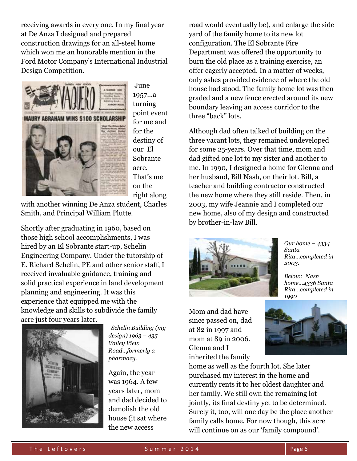receiving awards in every one. In my final year at De Anza I designed and prepared construction drawings for an all-steel home which won me an honorable mention in the Ford Motor Company's International Industrial Design Competition.



June 1957…a turning point event for me and for the destiny of our El Sobrante acre. That's me on the right along

with another winning De Anza student, Charles Smith, and Principal William Plutte.

Shortly after graduating in 1960, based on those high school accomplishments, I was hired by an El Sobrante start-up, Schelin Engineering Company. Under the tutorship of E. Richard Schelin, PE and other senior staff, I received invaluable guidance, training and solid practical experience in land development planning and engineering. It was this experience that equipped me with the knowledge and skills to subdivide the family acre just four years later.



 *Schelin Building (my design) 1963 – 435 Valley View Road…formerly a pharmacy.*

Again, the year was 1964. A few years later, mom and dad decided to demolish the old house (it sat where the new access

road would eventually be), and enlarge the side yard of the family home to its new lot configuration. The El Sobrante Fire Department was offered the opportunity to burn the old place as a training exercise, an offer eagerly accepted. In a matter of weeks, only ashes provided evidence of where the old house had stood. The family home lot was then graded and a new fence erected around its new boundary leaving an access corridor to the three "back" lots.

Although dad often talked of building on the three vacant lots, they remained undeveloped for some 25-years. Over that time, mom and dad gifted one lot to my sister and another to me. In 1990, I designed a home for Glenna and her husband, Bill Nash, on their lot. Bill, a teacher and building contractor constructed the new home where they still reside. Then, in 2003, my wife Jeannie and I completed our new home, also of my design and constructed by brother-in-law Bill.



*Our home – 4334 Santa Rita…completed in 2003.* 

*Below: Nash home…4336 Santa Rita…completed in 1990*

Mom and dad have since passed on, dad at 82 in 1997 and mom at 89 in 2006. Glenna and I inherited the family



home as well as the fourth lot. She later purchased my interest in the home and currently rents it to her oldest daughter and her family. We still own the remaining lot jointly, its final destiny yet to be determined. Surely it, too, will one day be the place another family calls home. For now though, this acre will continue on as our 'family compound'.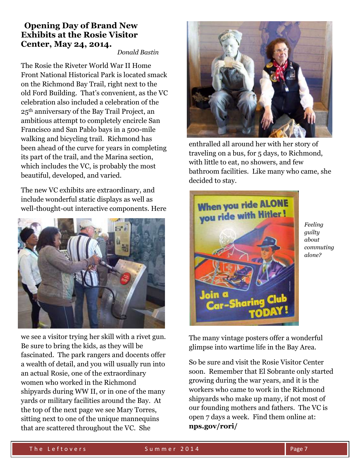### **Opening Day of Brand New Exhibits at the Rosie Visitor Center, May 24, 2014.**

*Donald Bastin*

The Rosie the Riveter World War II Home Front National Historical Park is located smack on the Richmond Bay Trail, right next to the old Ford Building. That's convenient, as the VC celebration also included a celebration of the 25th anniversary of the Bay Trail Project, an ambitious attempt to completely encircle San Francisco and San Pablo bays in a 500-mile walking and bicycling trail. Richmond has been ahead of the curve for years in completing its part of the trail, and the Marina section, which includes the VC, is probably the most beautiful, developed, and varied.

The new VC exhibits are extraordinary, and include wonderful static displays as well as well-thought-out interactive components. Here



we see a visitor trying her skill with a rivet gun. Be sure to bring the kids, as they will be fascinated. The park rangers and docents offer a wealth of detail, and you will usually run into an actual Rosie, one of the extraordinary women who worked in the Richmond shipyards during WW II, or in one of the many yards or military facilities around the Bay. At the top of the next page we see Mary Torres, sitting next to one of the unique mannequins that are scattered throughout the VC. She



enthralled all around her with her story of traveling on a bus, for 5 days, to Richmond, with little to eat, no showers, and few bathroom facilities. Like many who came, she decided to stay.



*Feeling guilty about commuting alone?*

The many vintage posters offer a wonderful glimpse into wartime life in the Bay Area.

So be sure and visit the Rosie Visitor Center soon. Remember that El Sobrante only started growing during the war years, and it is the workers who came to work in the Richmond shipyards who make up many, if not most of our founding mothers and fathers. The VC is open 7 days a week. Find them online at: **nps.gov/rori/**